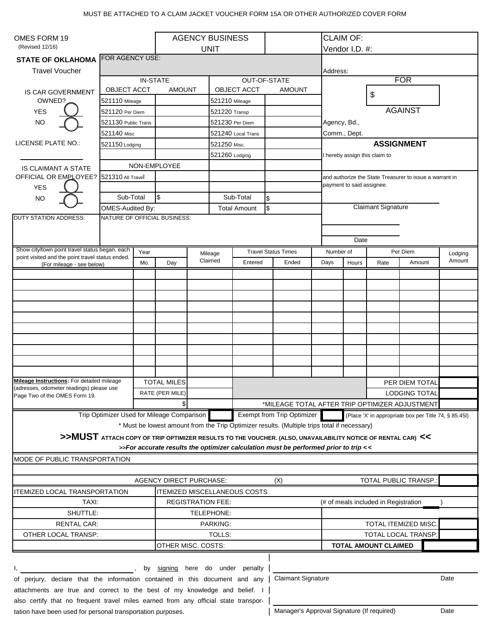## MUST BE ATTACHED TO A CLAIM JACKET VOUCHER FORM 15A OR OTHER AUTHORIZED COVER FORM

| OMES FORM 19                                                                                                            |                                                                                 |                    | <b>AGENCY BUSINESS</b>    |                          |                    |                                                       |                                                                                                             |           | <b>CLAIM OF:</b>                                                                     |                |            |         |  |
|-------------------------------------------------------------------------------------------------------------------------|---------------------------------------------------------------------------------|--------------------|---------------------------|--------------------------|--------------------|-------------------------------------------------------|-------------------------------------------------------------------------------------------------------------|-----------|--------------------------------------------------------------------------------------|----------------|------------|---------|--|
| (Revised 12/16)<br>FOR AGENCY USE:                                                                                      |                                                                                 |                    | <b>UNIT</b>               |                          |                    |                                                       |                                                                                                             |           | Vendor I.D. #:                                                                       |                |            |         |  |
| <b>STATE OF OKLAHOMA</b>                                                                                                |                                                                                 |                    |                           |                          |                    |                                                       |                                                                                                             |           |                                                                                      |                |            |         |  |
| <b>Travel Voucher</b>                                                                                                   |                                                                                 |                    |                           |                          |                    |                                                       |                                                                                                             | Address:  |                                                                                      |                |            |         |  |
|                                                                                                                         |                                                                                 | IN-STATE           |                           |                          |                    | <b>OUT-OF-STATE</b>                                   |                                                                                                             |           |                                                                                      |                | <b>FOR</b> |         |  |
| <b>IS CAR GOVERNMENT</b>                                                                                                | <b>OBJECT ACCT</b>                                                              |                    | <b>AMOUNT</b>             |                          | <b>OBJECT ACCT</b> |                                                       | <b>AMOUNT</b>                                                                                               |           |                                                                                      | \$             |            |         |  |
| OWNED?                                                                                                                  | 521110 Mileage                                                                  |                    |                           |                          | 521210 Mileage     |                                                       |                                                                                                             |           |                                                                                      |                |            |         |  |
| <b>YES</b>                                                                                                              | 521120 Per Diem                                                                 |                    |                           |                          | 521220 Transp      |                                                       |                                                                                                             |           | <b>AGAINST</b>                                                                       |                |            |         |  |
| <b>NO</b>                                                                                                               | 521130 Public Trans                                                             |                    |                           |                          | 521230 Per Diem    |                                                       |                                                                                                             |           | Agency, Bd.,                                                                         |                |            |         |  |
|                                                                                                                         | 521140 Misc                                                                     |                    |                           |                          | 521240 Local Trans |                                                       |                                                                                                             |           | Comm., Dept.                                                                         |                |            |         |  |
| LICENSE PLATE NO.:                                                                                                      | 521150 Lodging                                                                  |                    |                           |                          | 521250 Misc.       |                                                       |                                                                                                             |           | <b>ASSIGNMENT</b>                                                                    |                |            |         |  |
|                                                                                                                         |                                                                                 |                    |                           |                          | 521260 Lodging     |                                                       |                                                                                                             |           | I hereby assign this claim to                                                        |                |            |         |  |
| <b>IS CLAIMANT A STATE</b>                                                                                              | NON-EMPLOYEE                                                                    |                    |                           |                          |                    |                                                       |                                                                                                             |           |                                                                                      |                |            |         |  |
| OFFICIAL OR EMPLOYEE? 521310 All Travel                                                                                 |                                                                                 |                    |                           |                          |                    |                                                       |                                                                                                             |           | and authorize the State Treasurer to issue a warrant in<br>payment to said assignee. |                |            |         |  |
| <b>YES</b>                                                                                                              |                                                                                 |                    |                           |                          |                    |                                                       |                                                                                                             |           |                                                                                      |                |            |         |  |
| <b>NO</b>                                                                                                               | Sub-Total                                                                       |                    | $\boldsymbol{\mathsf{S}}$ |                          | Sub-Total<br>\$    |                                                       |                                                                                                             |           |                                                                                      |                |            |         |  |
|                                                                                                                         | OMES-Audited By:<br>NATURE OF OFFICIAL BUSINESS:                                |                    |                           |                          |                    | \$<br><b>Total Amount</b>                             |                                                                                                             |           | <b>Claimant Signature</b>                                                            |                |            |         |  |
| <b>DUTY STATION ADDRESS:</b>                                                                                            |                                                                                 |                    |                           |                          |                    |                                                       |                                                                                                             |           |                                                                                      |                |            |         |  |
|                                                                                                                         |                                                                                 |                    |                           |                          |                    |                                                       |                                                                                                             |           |                                                                                      |                |            |         |  |
| Show city/town point travel status began, each                                                                          |                                                                                 |                    |                           |                          |                    |                                                       |                                                                                                             | Date      |                                                                                      |                |            |         |  |
| point visited and the point travel status ended.                                                                        | Year                                                                            |                    |                           |                          | Mileage            |                                                       | <b>Travel Status Times</b>                                                                                  | Number of |                                                                                      |                | Per Diem   | Lodging |  |
| (For mileage - see below)                                                                                               |                                                                                 | Mo.                | Day                       |                          | Claimed            | Entered                                               | Ended                                                                                                       | Days      | Hours                                                                                | Rate           | Amount     | Amount  |  |
|                                                                                                                         |                                                                                 |                    |                           |                          |                    |                                                       |                                                                                                             |           |                                                                                      |                |            |         |  |
|                                                                                                                         |                                                                                 |                    |                           |                          |                    |                                                       |                                                                                                             |           |                                                                                      |                |            |         |  |
|                                                                                                                         |                                                                                 |                    |                           |                          |                    |                                                       |                                                                                                             |           |                                                                                      |                |            |         |  |
|                                                                                                                         |                                                                                 |                    |                           |                          |                    |                                                       |                                                                                                             |           |                                                                                      |                |            |         |  |
|                                                                                                                         |                                                                                 |                    |                           |                          |                    |                                                       |                                                                                                             |           |                                                                                      |                |            |         |  |
|                                                                                                                         |                                                                                 |                    |                           |                          |                    |                                                       |                                                                                                             |           |                                                                                      |                |            |         |  |
|                                                                                                                         |                                                                                 |                    |                           |                          |                    |                                                       |                                                                                                             |           |                                                                                      |                |            |         |  |
|                                                                                                                         |                                                                                 |                    |                           |                          |                    |                                                       |                                                                                                             |           |                                                                                      |                |            |         |  |
|                                                                                                                         |                                                                                 |                    |                           |                          |                    |                                                       |                                                                                                             |           |                                                                                      |                |            |         |  |
|                                                                                                                         |                                                                                 |                    |                           |                          |                    |                                                       |                                                                                                             |           |                                                                                      |                |            |         |  |
| Mileage Instructions: For detailed mileage<br>(adresses, odometer readings) please use<br>Page Two of the OMES Form 19. |                                                                                 | <b>TOTAL MILES</b> |                           |                          |                    |                                                       |                                                                                                             |           |                                                                                      | PER DIEM TOTAL |            |         |  |
|                                                                                                                         |                                                                                 |                    | RATE (PER MILE)           |                          |                    |                                                       |                                                                                                             |           | <b>LODGING TOTAL</b>                                                                 |                |            |         |  |
|                                                                                                                         |                                                                                 |                    | \$                        |                          |                    | *MILEAGE TOTAL AFTER TRIP OPTIMIZER ADJUSTMENT        |                                                                                                             |           |                                                                                      |                |            |         |  |
|                                                                                                                         | Trip Optimizer Used for Mileage Comparison<br><b>Exempt from Trip Optimizer</b> |                    |                           |                          |                    | (Place 'X' in appropriate box per Title 74, § 85.45I) |                                                                                                             |           |                                                                                      |                |            |         |  |
|                                                                                                                         |                                                                                 |                    |                           |                          |                    |                                                       | * Must be lowest amount from the Trip Optimizer results. (Multiple trips total if necessary)                |           |                                                                                      |                |            |         |  |
|                                                                                                                         |                                                                                 |                    |                           |                          |                    |                                                       | >>MUST ATTACH COPY OF TRIP OPTIMIZER RESULTS TO THE VOUCHER. (ALSO, UNAVAILABILITY NOTICE OF RENTAL CAR) << |           |                                                                                      |                |            |         |  |
|                                                                                                                         |                                                                                 |                    |                           |                          |                    |                                                       | >>For accurate results the optimizer calculation must be performed prior to trip <<                         |           |                                                                                      |                |            |         |  |
| MODE OF PUBLIC TRANSPORTATION                                                                                           |                                                                                 |                    |                           |                          |                    |                                                       |                                                                                                             |           |                                                                                      |                |            |         |  |
|                                                                                                                         |                                                                                 |                    |                           |                          |                    |                                                       |                                                                                                             |           |                                                                                      |                |            |         |  |
| <b>AGENCY DIRECT PURCHASE:</b>                                                                                          |                                                                                 |                    |                           |                          |                    | <b>TOTAL PUBLIC TRANSP.:</b><br>(X)                   |                                                                                                             |           |                                                                                      |                |            |         |  |
| <b>ITEMIZED LOCAL TRANSPORTATION</b>                                                                                    |                                                                                 |                    |                           |                          |                    | <b>ITEMIZED MISCELLANEOUS COSTS</b>                   |                                                                                                             |           |                                                                                      |                |            |         |  |
| TAXI:                                                                                                                   |                                                                                 |                    |                           | <b>REGISTRATION FEE:</b> |                    |                                                       |                                                                                                             |           | (# of meals included in Registration                                                 |                |            |         |  |
| SHUTTLE:                                                                                                                | TELEPHONE:                                                                      |                    |                           |                          |                    |                                                       |                                                                                                             |           |                                                                                      |                |            |         |  |
| <b>RENTAL CAR:</b>                                                                                                      | PARKING:                                                                        |                    |                           |                          |                    |                                                       |                                                                                                             |           | TOTAL ITEMIZED MISC.                                                                 |                |            |         |  |
| OTHER LOCAL TRANSP:                                                                                                     | TOLLS:                                                                          |                    |                           |                          |                    |                                                       | TOTAL LOCAL TRANSP.                                                                                         |           |                                                                                      |                |            |         |  |
|                                                                                                                         | OTHER MISC. COSTS:                                                              |                    |                           |                          |                    | <b>TOTAL AMOUNT CLAIMED</b>                           |                                                                                                             |           |                                                                                      |                |            |         |  |
|                                                                                                                         |                                                                                 |                    |                           |                          |                    |                                                       |                                                                                                             |           |                                                                                      |                |            |         |  |
|                                                                                                                         |                                                                                 | by                 |                           |                          |                    | signing here do under penalty                         |                                                                                                             |           |                                                                                      |                |            |         |  |
| <b>Claimant Signature</b><br>of perjury, declare that the information contained in this document and any                |                                                                                 |                    |                           |                          |                    |                                                       |                                                                                                             |           | Date                                                                                 |                |            |         |  |
| attachments are true and correct to the best of my knowledge and belief. I                                              |                                                                                 |                    |                           |                          |                    |                                                       |                                                                                                             |           |                                                                                      |                |            |         |  |
| also certify that no frequent travel miles earned from any official state transpor-                                     |                                                                                 |                    |                           |                          |                    |                                                       |                                                                                                             |           |                                                                                      |                |            |         |  |
| Manager's Approval Signature (If required)<br>tation have been used for personal transportation purposes.               |                                                                                 |                    |                           |                          |                    |                                                       |                                                                                                             | Date      |                                                                                      |                |            |         |  |
|                                                                                                                         |                                                                                 |                    |                           |                          |                    |                                                       |                                                                                                             |           |                                                                                      |                |            |         |  |